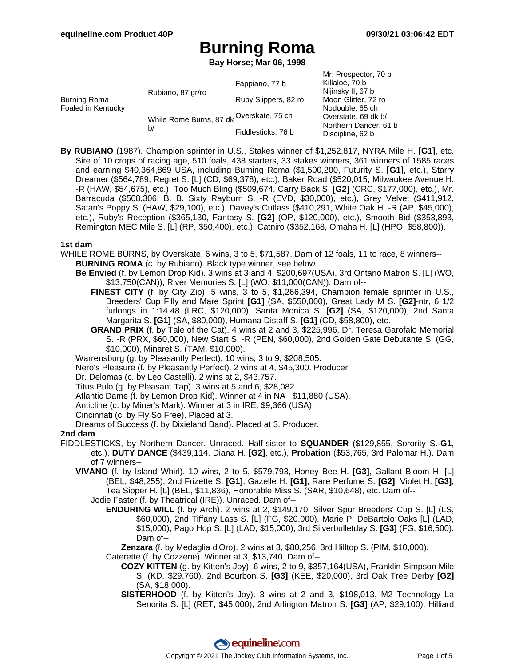**Bay Horse; Mar 06, 1998**

| Burning Roma<br>Foaled in Kentucky | Rubiano, 87 gr/ro                              | Fappiano, 77 b       | Mr. Prospector, 70 b<br>Killaloe, 70 b<br>Nijinsky II, 67 b      |
|------------------------------------|------------------------------------------------|----------------------|------------------------------------------------------------------|
|                                    |                                                | Ruby Slippers, 82 ro | Moon Glitter, 72 ro                                              |
|                                    |                                                |                      | Nodouble, 65 ch                                                  |
|                                    | While Rome Burns, 87 dk Overskate, 75 ch<br>b/ |                      | Overstate, 69 dk b/<br>Northern Dancer, 61 b<br>Discipline, 62 b |
|                                    |                                                | Fiddlesticks, 76 b   |                                                                  |

**By RUBIANO** (1987). Champion sprinter in U.S., Stakes winner of \$1,252,817, NYRA Mile H. **[G1]**, etc. Sire of 10 crops of racing age, 510 foals, 438 starters, 33 stakes winners, 361 winners of 1585 races and earning \$40,364,869 USA, including Burning Roma (\$1,500,200, Futurity S. **[G1]**, etc.), Starry Dreamer (\$564,789, Regret S. [L] (CD, \$69,378), etc.), Baker Road (\$520,015, Milwaukee Avenue H. -R (HAW, \$54,675), etc.), Too Much Bling (\$509,674, Carry Back S. **[G2]** (CRC, \$177,000), etc.), Mr. Barracuda (\$508,306, B. B. Sixty Rayburn S. -R (EVD, \$30,000), etc.), Grey Velvet (\$411,912, Satan's Poppy S. (HAW, \$29,100), etc.), Davey's Cutlass (\$410,291, White Oak H. -R (AP, \$45,000), etc.), Ruby's Reception (\$365,130, Fantasy S. **[G2]** (OP, \$120,000), etc.), Smooth Bid (\$353,893, Remington MEC Mile S. [L] (RP, \$50,400), etc.), Catniro (\$352,168, Omaha H. [L] (HPO, \$58,800)).

#### **1st dam**

- WHILE ROME BURNS, by Overskate. 6 wins, 3 to 5, \$71,587. Dam of 12 foals, 11 to race, 8 winners-- **BURNING ROMA** (c. by Rubiano). Black type winner, see below.
	- **Be Envied** (f. by Lemon Drop Kid). 3 wins at 3 and 4, \$200,697(USA), 3rd Ontario Matron S. [L] (WO, \$13,750(CAN)), River Memories S. [L] (WO, \$11,000(CAN)). Dam of--
		- **FINEST CITY** (f. by City Zip). 5 wins, 3 to 5, \$1,266,394, Champion female sprinter in U.S., Breeders' Cup Filly and Mare Sprint **[G1]** (SA, \$550,000), Great Lady M S. **[G2]**-ntr, 6 1/2 furlongs in 1:14.48 (LRC, \$120,000), Santa Monica S. **[G2]** (SA, \$120,000), 2nd Santa Margarita S. **[G1]** (SA, \$80,000), Humana Distaff S. **[G1]** (CD, \$58,800), etc.
		- **GRAND PRIX** (f. by Tale of the Cat). 4 wins at 2 and 3, \$225,996, Dr. Teresa Garofalo Memorial S. -R (PRX, \$60,000), New Start S. -R (PEN, \$60,000), 2nd Golden Gate Debutante S. (GG, \$10,000), Minaret S. (TAM, \$10,000).
	- Warrensburg (g. by Pleasantly Perfect). 10 wins, 3 to 9, \$208,505.

Nero's Pleasure (f. by Pleasantly Perfect). 2 wins at 4, \$45,300. Producer.

- Dr. Delomas (c. by Leo Castelli). 2 wins at 2, \$43,757.
- Titus Pulo (g. by Pleasant Tap). 3 wins at 5 and 6, \$28,082.
- Atlantic Dame (f. by Lemon Drop Kid). Winner at 4 in NA , \$11,880 (USA).
- Anticline (c. by Miner's Mark). Winner at 3 in IRE, \$9,366 (USA).
- Cincinnati (c. by Fly So Free). Placed at 3.

Dreams of Success (f. by Dixieland Band). Placed at 3. Producer.

### **2nd dam**

- FIDDLESTICKS, by Northern Dancer. Unraced. Half-sister to **SQUANDER** (\$129,855, Sorority S.**-G1**, etc.), **DUTY DANCE** (\$439,114, Diana H. **[G2]**, etc.), **Probation** (\$53,765, 3rd Palomar H.). Dam of 7 winners--
	- **VIVANO** (f. by Island Whirl). 10 wins, 2 to 5, \$579,793, Honey Bee H. **[G3]**, Gallant Bloom H. [L] (BEL, \$48,255), 2nd Frizette S. **[G1]**, Gazelle H. **[G1]**, Rare Perfume S. **[G2]**, Violet H. **[G3]**, Tea Sipper H. [L] (BEL, \$11,836), Honorable Miss S. (SAR, \$10,648), etc. Dam of--
		- Jodie Faster (f. by Theatrical (IRE)). Unraced. Dam of--
			- **ENDURING WILL** (f. by Arch). 2 wins at 2, \$149,170, Silver Spur Breeders' Cup S. [L] (LS, \$60,000), 2nd Tiffany Lass S. [L] (FG, \$20,000), Marie P. DeBartolo Oaks [L] (LAD, \$15,000), Pago Hop S. [L] (LAD, \$15,000), 3rd Silverbulletday S. **[G3]** (FG, \$16,500). Dam of--
				- **Zenzara** (f. by Medaglia d'Oro). 2 wins at 3, \$80,256, 3rd Hilltop S. (PIM, \$10,000).
			- Caterette (f. by Cozzene). Winner at 3, \$13,740. Dam of--
				- **COZY KITTEN** (g. by Kitten's Joy). 6 wins, 2 to 9, \$357,164(USA), Franklin-Simpson Mile S. (KD, \$29,760), 2nd Bourbon S. **[G3]** (KEE, \$20,000), 3rd Oak Tree Derby **[G2]** (SA, \$18,000).
				- **SISTERHOOD** (f. by Kitten's Joy). 3 wins at 2 and 3, \$198,013, M2 Technology La Senorita S. [L] (RET, \$45,000), 2nd Arlington Matron S. **[G3]** (AP, \$29,100), Hilliard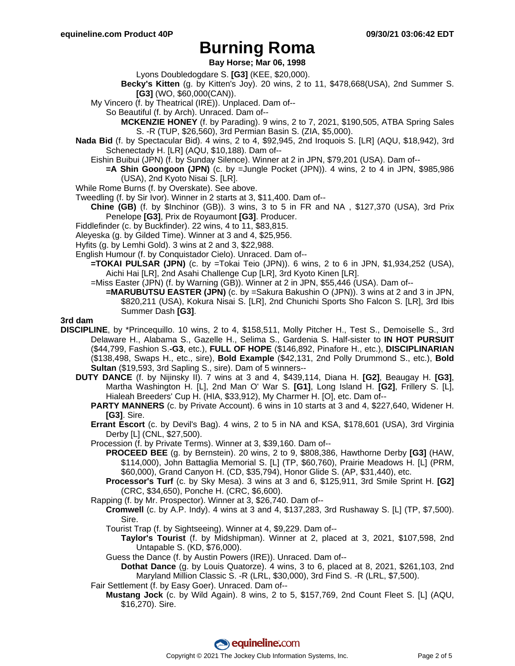### **Bay Horse; Mar 06, 1998**

Lyons Doubledogdare S. **[G3]** (KEE, \$20,000).

- **Becky's Kitten** (g. by Kitten's Joy). 20 wins, 2 to 11, \$478,668(USA), 2nd Summer S. **[G3]** (WO, \$60,000(CAN)).
- My Vincero (f. by Theatrical (IRE)). Unplaced. Dam of--
	- So Beautiful (f. by Arch). Unraced. Dam of--
		- **MCKENZIE HONEY** (f. by Parading). 9 wins, 2 to 7, 2021, \$190,505, ATBA Spring Sales S. -R (TUP, \$26,560), 3rd Permian Basin S. (ZIA, \$5,000).
- **Nada Bid** (f. by Spectacular Bid). 4 wins, 2 to 4, \$92,945, 2nd Iroquois S. [LR] (AQU, \$18,942), 3rd Schenectady H. [LR] (AQU, \$10,188). Dam of--
	- Eishin Buibui (JPN) (f. by Sunday Silence). Winner at 2 in JPN, \$79,201 (USA). Dam of--
		- **=A Shin Goongoon (JPN)** (c. by =Jungle Pocket (JPN)). 4 wins, 2 to 4 in JPN, \$985,986 (USA), 2nd Kyoto Nisai S. [LR].
- While Rome Burns (f. by Overskate). See above.
- Tweedling (f. by Sir Ivor). Winner in 2 starts at 3, \$11,400. Dam of--
	- **Chine (GB)** (f. by \$Inchinor (GB)). 3 wins, 3 to 5 in FR and NA , \$127,370 (USA), 3rd Prix Penelope **[G3]**, Prix de Royaumont **[G3]**. Producer.
- Fiddlefinder (c. by Buckfinder). 22 wins, 4 to 11, \$83,815.
- Aleyeska (g. by Gilded Time). Winner at 3 and 4, \$25,956.
- Hyfits (g. by Lemhi Gold). 3 wins at 2 and 3, \$22,988.
- English Humour (f. by Conquistador Cielo). Unraced. Dam of--
	- **=TOKAI PULSAR (JPN)** (c. by =Tokai Teio (JPN)). 6 wins, 2 to 6 in JPN, \$1,934,252 (USA), Aichi Hai [LR], 2nd Asahi Challenge Cup [LR], 3rd Kyoto Kinen [LR].
	- =Miss Easter (JPN) (f. by Warning (GB)). Winner at 2 in JPN, \$55,446 (USA). Dam of--
		- **=MARUBUTSU EASTER (JPN)** (c. by =Sakura Bakushin O (JPN)). 3 wins at 2 and 3 in JPN, \$820,211 (USA), Kokura Nisai S. [LR], 2nd Chunichi Sports Sho Falcon S. [LR], 3rd Ibis Summer Dash **[G3]**.

### **3rd dam**

- **DISCIPLINE**, by \*Princequillo. 10 wins, 2 to 4, \$158,511, Molly Pitcher H., Test S., Demoiselle S., 3rd Delaware H., Alabama S., Gazelle H., Selima S., Gardenia S. Half-sister to **IN HOT PURSUIT** (\$44,799, Fashion S.**-G3**, etc.), **FULL OF HOPE** (\$146,892, Pinafore H., etc.), **DISCIPLINARIAN** (\$138,498, Swaps H., etc., sire), **Bold Example** (\$42,131, 2nd Polly Drummond S., etc.), **Bold Sultan** (\$19,593, 3rd Sapling S., sire). Dam of 5 winners--
	- **DUTY DANCE** (f. by Nijinsky II). 7 wins at 3 and 4, \$439,114, Diana H. **[G2]**, Beaugay H. **[G3]**, Martha Washington H. [L], 2nd Man O' War S. **[G1]**, Long Island H. **[G2]**, Frillery S. [L], Hialeah Breeders' Cup H. (HIA, \$33,912), My Charmer H. [O], etc. Dam of--
		- **PARTY MANNERS** (c. by Private Account). 6 wins in 10 starts at 3 and 4, \$227,640, Widener H. **[G3]**. Sire.
		- **Errant Escort** (c. by Devil's Bag). 4 wins, 2 to 5 in NA and KSA, \$178,601 (USA), 3rd Virginia Derby [L] (CNL, \$27,500).
		- Procession (f. by Private Terms). Winner at 3, \$39,160. Dam of--
			- **PROCEED BEE** (g. by Bernstein). 20 wins, 2 to 9, \$808,386, Hawthorne Derby **[G3]** (HAW, \$114,000), John Battaglia Memorial S. [L] (TP, \$60,760), Prairie Meadows H. [L] (PRM, \$60,000), Grand Canyon H. (CD, \$35,794), Honor Glide S. (AP, \$31,440), etc.
			- **Processor's Turf** (c. by Sky Mesa). 3 wins at 3 and 6, \$125,911, 3rd Smile Sprint H. **[G2]** (CRC, \$34,650), Ponche H. (CRC, \$6,600).
		- Rapping (f. by Mr. Prospector). Winner at 3, \$26,740. Dam of--
			- **Cromwell** (c. by A.P. Indy). 4 wins at 3 and 4, \$137,283, 3rd Rushaway S. [L] (TP, \$7,500). Sire.
			- Tourist Trap (f. by Sightseeing). Winner at 4, \$9,229. Dam of--
				- **Taylor's Tourist** (f. by Midshipman). Winner at 2, placed at 3, 2021, \$107,598, 2nd Untapable S. (KD, \$76,000).
			- Guess the Dance (f. by Austin Powers (IRE)). Unraced. Dam of--
				- **Dothat Dance** (g. by Louis Quatorze). 4 wins, 3 to 6, placed at 8, 2021, \$261,103, 2nd Maryland Million Classic S. -R (LRL, \$30,000), 3rd Find S. -R (LRL, \$7,500).
		- Fair Settlement (f. by Easy Goer). Unraced. Dam of--
			- **Mustang Jock** (c. by Wild Again). 8 wins, 2 to 5, \$157,769, 2nd Count Fleet S. [L] (AQU, \$16,270). Sire.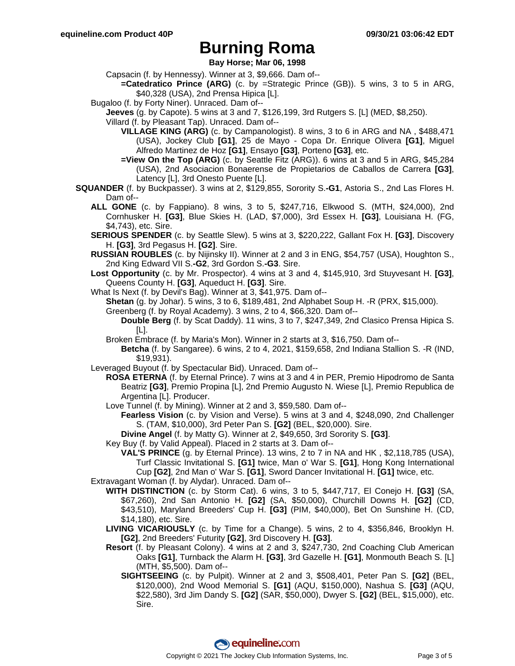**Bay Horse; Mar 06, 1998**

Capsacin (f. by Hennessy). Winner at 3, \$9,666. Dam of--

- **=Catedratico Prince (ARG)** (c. by =Strategic Prince (GB)). 5 wins, 3 to 5 in ARG, \$40,328 (USA), 2nd Prensa Hipica [L].
- Bugaloo (f. by Forty Niner). Unraced. Dam of--
	- **Jeeves** (g. by Capote). 5 wins at 3 and 7, \$126,199, 3rd Rutgers S. [L] (MED, \$8,250).

Villard (f. by Pleasant Tap). Unraced. Dam of--

- **VILLAGE KING (ARG)** (c. by Campanologist). 8 wins, 3 to 6 in ARG and NA , \$488,471 (USA), Jockey Club **[G1]**, 25 de Mayo - Copa Dr. Enrique Olivera **[G1]**, Miguel Alfredo Martinez de Hoz **[G1]**, Ensayo **[G3]**, Porteno **[G3]**, etc.
- **=View On the Top (ARG)** (c. by Seattle Fitz (ARG)). 6 wins at 3 and 5 in ARG, \$45,284 (USA), 2nd Asociacion Bonaerense de Propietarios de Caballos de Carrera **[G3]**, Latency [L], 3rd Onesto Puente [L].
- **SQUANDER** (f. by Buckpasser). 3 wins at 2, \$129,855, Sorority S.**-G1**, Astoria S., 2nd Las Flores H. Dam of--
	- **ALL GONE** (c. by Fappiano). 8 wins, 3 to 5, \$247,716, Elkwood S. (MTH, \$24,000), 2nd Cornhusker H. **[G3]**, Blue Skies H. (LAD, \$7,000), 3rd Essex H. **[G3]**, Louisiana H. (FG, \$4,743), etc. Sire.
	- **SERIOUS SPENDER** (c. by Seattle Slew). 5 wins at 3, \$220,222, Gallant Fox H. **[G3]**, Discovery H. **[G3]**, 3rd Pegasus H. **[G2]**. Sire.
	- **RUSSIAN ROUBLES** (c. by Nijinsky II). Winner at 2 and 3 in ENG, \$54,757 (USA), Houghton S., 2nd King Edward VII S.**-G2**, 3rd Gordon S.**-G3**. Sire.
	- **Lost Opportunity** (c. by Mr. Prospector). 4 wins at 3 and 4, \$145,910, 3rd Stuyvesant H. **[G3]**, Queens County H. **[G3]**, Aqueduct H. **[G3]**. Sire.
	- What Is Next (f. by Devil's Bag). Winner at 3, \$41,975. Dam of--
		- **Shetan** (g. by Johar). 5 wins, 3 to 6, \$189,481, 2nd Alphabet Soup H. -R (PRX, \$15,000).

Greenberg (f. by Royal Academy). 3 wins, 2 to 4, \$66,320. Dam of--

**Double Berg** (f. by Scat Daddy). 11 wins, 3 to 7, \$247,349, 2nd Clasico Prensa Hipica S. [L].

- Broken Embrace (f. by Maria's Mon). Winner in 2 starts at 3, \$16,750. Dam of--
	- **Betcha** (f. by Sangaree). 6 wins, 2 to 4, 2021, \$159,658, 2nd Indiana Stallion S. -R (IND, \$19,931).
- Leveraged Buyout (f. by Spectacular Bid). Unraced. Dam of--
	- **ROSA ETERNA** (f. by Eternal Prince). 7 wins at 3 and 4 in PER, Premio Hipodromo de Santa Beatriz **[G3]**, Premio Propina [L], 2nd Premio Augusto N. Wiese [L], Premio Republica de Argentina [L]. Producer.
	- Love Tunnel (f. by Mining). Winner at 2 and 3, \$59,580. Dam of--
		- **Fearless Vision** (c. by Vision and Verse). 5 wins at 3 and 4, \$248,090, 2nd Challenger S. (TAM, \$10,000), 3rd Peter Pan S. **[G2]** (BEL, \$20,000). Sire.
		- **Divine Angel** (f. by Matty G). Winner at 2, \$49,650, 3rd Sorority S. **[G3]**.

Key Buy (f. by Valid Appeal). Placed in 2 starts at 3. Dam of--

**VAL'S PRINCE** (g. by Eternal Prince). 13 wins, 2 to 7 in NA and HK , \$2,118,785 (USA), Turf Classic Invitational S. **[G1]** twice, Man o' War S. **[G1]**, Hong Kong International Cup **[G2]**, 2nd Man o' War S. **[G1]**, Sword Dancer Invitational H. **[G1]** twice, etc.

Extravagant Woman (f. by Alydar). Unraced. Dam of--

- **WITH DISTINCTION** (c. by Storm Cat). 6 wins, 3 to 5, \$447,717, El Conejo H. **[G3]** (SA, \$67,260), 2nd San Antonio H. **[G2]** (SA, \$50,000), Churchill Downs H. **[G2]** (CD, \$43,510), Maryland Breeders' Cup H. **[G3]** (PIM, \$40,000), Bet On Sunshine H. (CD, \$14,180), etc. Sire.
- **LIVING VICARIOUSLY** (c. by Time for a Change). 5 wins, 2 to 4, \$356,846, Brooklyn H. **[G2]**, 2nd Breeders' Futurity **[G2]**, 3rd Discovery H. **[G3]**.
- **Resort** (f. by Pleasant Colony). 4 wins at 2 and 3, \$247,730, 2nd Coaching Club American Oaks **[G1]**, Turnback the Alarm H. **[G3]**, 3rd Gazelle H. **[G1]**, Monmouth Beach S. [L] (MTH, \$5,500). Dam of--
	- **SIGHTSEEING** (c. by Pulpit). Winner at 2 and 3, \$508,401, Peter Pan S. **[G2]** (BEL, \$120,000), 2nd Wood Memorial S. **[G1]** (AQU, \$150,000), Nashua S. **[G3]** (AQU, \$22,580), 3rd Jim Dandy S. **[G2]** (SAR, \$50,000), Dwyer S. **[G2]** (BEL, \$15,000), etc. Sire.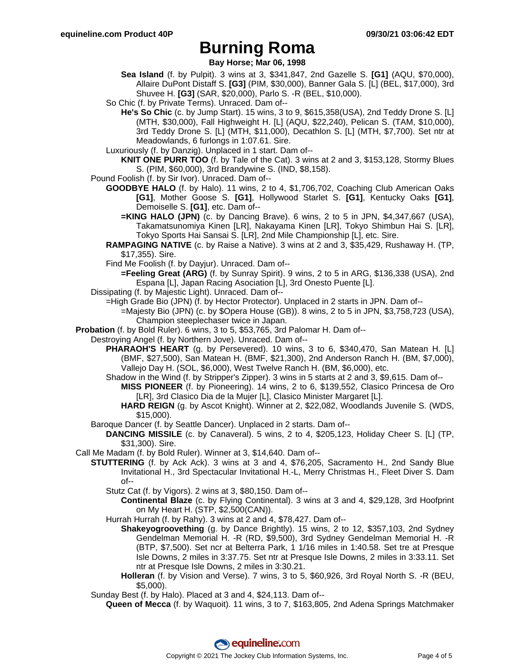**Bay Horse; Mar 06, 1998**

- **Sea Island** (f. by Pulpit). 3 wins at 3, \$341,847, 2nd Gazelle S. **[G1]** (AQU, \$70,000), Allaire DuPont Distaff S. **[G3]** (PIM, \$30,000), Banner Gala S. [L] (BEL, \$17,000), 3rd Shuvee H. **[G3]** (SAR, \$20,000), Parlo S. -R (BEL, \$10,000).
- So Chic (f. by Private Terms). Unraced. Dam of--
- **He's So Chic** (c. by Jump Start). 15 wins, 3 to 9, \$615,358(USA), 2nd Teddy Drone S. [L] (MTH, \$30,000), Fall Highweight H. [L] (AQU, \$22,240), Pelican S. (TAM, \$10,000), 3rd Teddy Drone S. [L] (MTH, \$11,000), Decathlon S. [L] (MTH, \$7,700). Set ntr at Meadowlands, 6 furlongs in 1:07.61. Sire.
- Luxuriously (f. by Danzig). Unplaced in 1 start. Dam of--
- **KNIT ONE PURR TOO** (f. by Tale of the Cat). 3 wins at 2 and 3, \$153,128, Stormy Blues S. (PIM, \$60,000), 3rd Brandywine S. (IND, \$8,158).
- Pound Foolish (f. by Sir Ivor). Unraced. Dam of--
	- **GOODBYE HALO** (f. by Halo). 11 wins, 2 to 4, \$1,706,702, Coaching Club American Oaks **[G1]**, Mother Goose S. **[G1]**, Hollywood Starlet S. **[G1]**, Kentucky Oaks **[G1]**, Demoiselle S. **[G1]**, etc. Dam of--
		- **=KING HALO (JPN)** (c. by Dancing Brave). 6 wins, 2 to 5 in JPN, \$4,347,667 (USA), Takamatsunomiya Kinen [LR], Nakayama Kinen [LR], Tokyo Shimbun Hai S. [LR], Tokyo Sports Hai Sansai S. [LR], 2nd Mile Championship [L], etc. Sire.
	- **RAMPAGING NATIVE** (c. by Raise a Native). 3 wins at 2 and 3, \$35,429, Rushaway H. (TP, \$17,355). Sire.
	- Find Me Foolish (f. by Dayjur). Unraced. Dam of--
	- **=Feeling Great (ARG)** (f. by Sunray Spirit). 9 wins, 2 to 5 in ARG, \$136,338 (USA), 2nd Espana [L], Japan Racing Asociation [L], 3rd Onesto Puente [L].
- Dissipating (f. by Majestic Light). Unraced. Dam of--
	- =High Grade Bio (JPN) (f. by Hector Protector). Unplaced in 2 starts in JPN. Dam of--
		- =Majesty Bio (JPN) (c. by \$Opera House (GB)). 8 wins, 2 to 5 in JPN, \$3,758,723 (USA), Champion steeplechaser twice in Japan.
- **Probation** (f. by Bold Ruler). 6 wins, 3 to 5, \$53,765, 3rd Palomar H. Dam of--
- Destroying Angel (f. by Northern Jove). Unraced. Dam of--
	- **PHARAOH'S HEART** (g. by Persevered). 10 wins, 3 to 6, \$340,470, San Matean H. [L] (BMF, \$27,500), San Matean H. (BMF, \$21,300), 2nd Anderson Ranch H. (BM, \$7,000), Vallejo Day H. (SOL, \$6,000), West Twelve Ranch H. (BM, \$6,000), etc.
	- Shadow in the Wind (f. by Stripper's Zipper). 3 wins in 5 starts at 2 and 3, \$9,615. Dam of-- **MISS PIONEER** (f. by Pioneering). 14 wins, 2 to 6, \$139,552, Clasico Princesa de Oro [LR], 3rd Clasico Dia de la Mujer [L], Clasico Minister Margaret [L].
		- **HARD REIGN** (g. by Ascot Knight). Winner at 2, \$22,082, Woodlands Juvenile S. (WDS, \$15,000).
	- Baroque Dancer (f. by Seattle Dancer). Unplaced in 2 starts. Dam of--
		- **DANCING MISSILE** (c. by Canaveral). 5 wins, 2 to 4, \$205,123, Holiday Cheer S. [L] (TP, \$31,300). Sire.
- Call Me Madam (f. by Bold Ruler). Winner at 3, \$14,640. Dam of--
	- **STUTTERING** (f. by Ack Ack). 3 wins at 3 and 4, \$76,205, Sacramento H., 2nd Sandy Blue Invitational H., 3rd Spectacular Invitational H.-L, Merry Christmas H., Fleet Diver S. Dam of--
		- Stutz Cat (f. by Vigors). 2 wins at 3, \$80,150. Dam of--
			- **Continental Blaze** (c. by Flying Continental). 3 wins at 3 and 4, \$29,128, 3rd Hoofprint on My Heart H. (STP, \$2,500(CAN)).
		- Hurrah Hurrah (f. by Rahy). 3 wins at 2 and 4, \$78,427. Dam of--
			- **Shakeyogroovething** (g. by Dance Brightly). 15 wins, 2 to 12, \$357,103, 2nd Sydney Gendelman Memorial H. -R (RD, \$9,500), 3rd Sydney Gendelman Memorial H. -R (BTP, \$7,500). Set ncr at Belterra Park, 1 1/16 miles in 1:40.58. Set tre at Presque Isle Downs, 2 miles in 3:37.75. Set ntr at Presque Isle Downs, 2 miles in 3:33.11. Set ntr at Presque Isle Downs, 2 miles in 3:30.21.
			- **Holleran** (f. by Vision and Verse). 7 wins, 3 to 5, \$60,926, 3rd Royal North S. -R (BEU, \$5,000).
	- Sunday Best (f. by Halo). Placed at 3 and 4, \$24,113. Dam of--
	- **Queen of Mecca** (f. by Waquoit). 11 wins, 3 to 7, \$163,805, 2nd Adena Springs Matchmaker